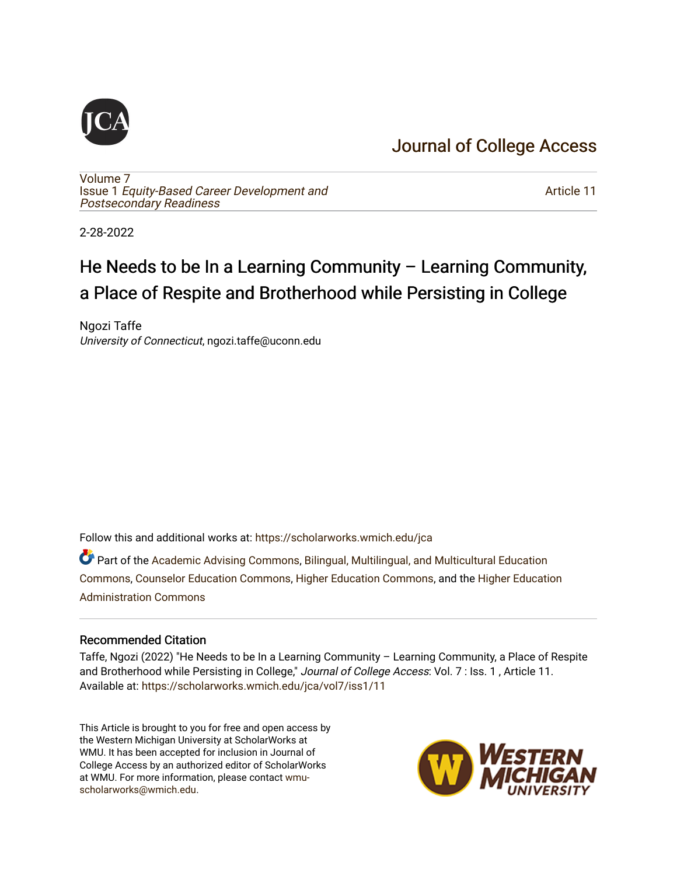## [Journal of College Access](https://scholarworks.wmich.edu/jca)

[Volume 7](https://scholarworks.wmich.edu/jca/vol7) Issue 1 [Equity-Based Career Development and](https://scholarworks.wmich.edu/jca/vol7/iss1) [Postsecondary Readiness](https://scholarworks.wmich.edu/jca/vol7/iss1) 

[Article 11](https://scholarworks.wmich.edu/jca/vol7/iss1/11) 

2-28-2022

# He Needs to be In a Learning Community – Learning Community, a Place of Respite and Brotherhood while Persisting in College

Ngozi Taffe University of Connecticut, ngozi.taffe@uconn.edu

Follow this and additional works at: [https://scholarworks.wmich.edu/jca](https://scholarworks.wmich.edu/jca?utm_source=scholarworks.wmich.edu%2Fjca%2Fvol7%2Fiss1%2F11&utm_medium=PDF&utm_campaign=PDFCoverPages)

Part of the [Academic Advising Commons](http://network.bepress.com/hgg/discipline/1403?utm_source=scholarworks.wmich.edu%2Fjca%2Fvol7%2Fiss1%2F11&utm_medium=PDF&utm_campaign=PDFCoverPages), [Bilingual, Multilingual, and Multicultural Education](http://network.bepress.com/hgg/discipline/785?utm_source=scholarworks.wmich.edu%2Fjca%2Fvol7%2Fiss1%2F11&utm_medium=PDF&utm_campaign=PDFCoverPages) [Commons](http://network.bepress.com/hgg/discipline/785?utm_source=scholarworks.wmich.edu%2Fjca%2Fvol7%2Fiss1%2F11&utm_medium=PDF&utm_campaign=PDFCoverPages), [Counselor Education Commons](http://network.bepress.com/hgg/discipline/1278?utm_source=scholarworks.wmich.edu%2Fjca%2Fvol7%2Fiss1%2F11&utm_medium=PDF&utm_campaign=PDFCoverPages), [Higher Education Commons](http://network.bepress.com/hgg/discipline/1245?utm_source=scholarworks.wmich.edu%2Fjca%2Fvol7%2Fiss1%2F11&utm_medium=PDF&utm_campaign=PDFCoverPages), and the [Higher Education](http://network.bepress.com/hgg/discipline/791?utm_source=scholarworks.wmich.edu%2Fjca%2Fvol7%2Fiss1%2F11&utm_medium=PDF&utm_campaign=PDFCoverPages)  [Administration Commons](http://network.bepress.com/hgg/discipline/791?utm_source=scholarworks.wmich.edu%2Fjca%2Fvol7%2Fiss1%2F11&utm_medium=PDF&utm_campaign=PDFCoverPages) 

#### Recommended Citation

Taffe, Ngozi (2022) "He Needs to be In a Learning Community – Learning Community, a Place of Respite and Brotherhood while Persisting in College," Journal of College Access: Vol. 7 : Iss. 1, Article 11. Available at: [https://scholarworks.wmich.edu/jca/vol7/iss1/11](https://scholarworks.wmich.edu/jca/vol7/iss1/11?utm_source=scholarworks.wmich.edu%2Fjca%2Fvol7%2Fiss1%2F11&utm_medium=PDF&utm_campaign=PDFCoverPages)

This Article is brought to you for free and open access by the Western Michigan University at ScholarWorks at WMU. It has been accepted for inclusion in Journal of College Access by an authorized editor of ScholarWorks at WMU. For more information, please contact [wmu](mailto:wmu-scholarworks@wmich.edu)[scholarworks@wmich.edu.](mailto:wmu-scholarworks@wmich.edu)

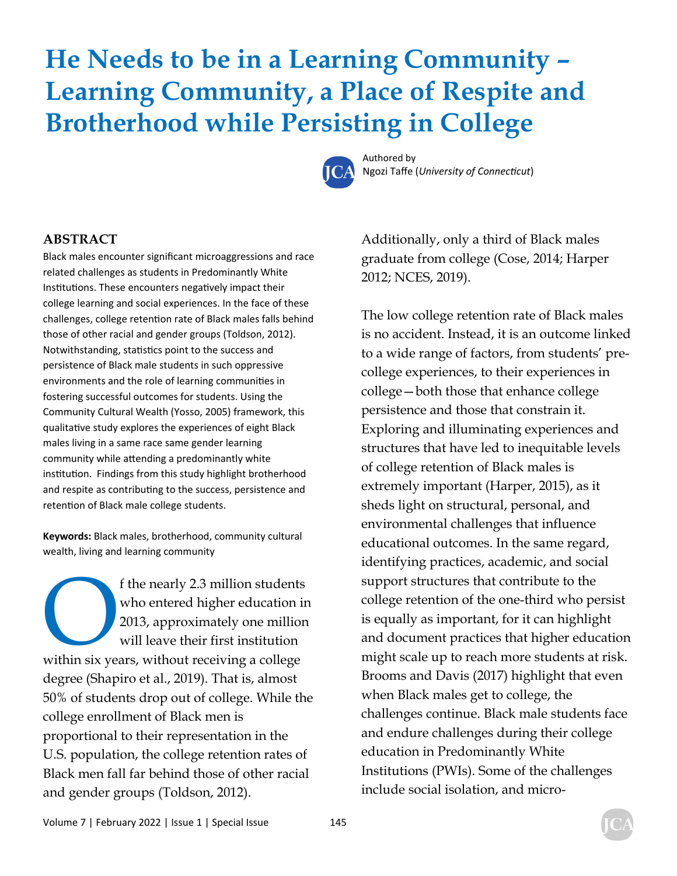# **He Needs to be in a Learning Community – Learning Community, a Place of Respite and Brotherhood while Persisting in College**



Authored by **Ngozi Taffe (***University of Connecticut***)** 

#### **ABSTRACT**

Black males encounter significant microaggressions and race related challenges as students in Predominantly White Institutions. These encounters negatively impact their college learning and social experiences. In the face of these challenges, college retention rate of Black males falls behind those of other racial and gender groups (Toldson, 2012). Notwithstanding, statistics point to the success and persistence of Black male students in such oppressive environments and the role of learning communities in fostering successful outcomes for students. Using the Community Cultural Wealth (Yosso, 2005) framework, this qualitative study explores the experiences of eight Black males living in a same race same gender learning community while attending a predominantly white institution. Findings from this study highlight brotherhood and respite as contributing to the success, persistence and retention of Black male college students.

**Keywords:** Black males, brotherhood, community cultural wealth, living and learning community

f the nearly 2.3 million students<br>
who entered higher education ir<br>
2013, approximately one million<br>
will leave their first institution<br>
within six years, without receiving a college who entered higher education in 2013, approximately one million will leave their first institution degree (Shapiro et al., 2019). That is, almost 50% of students drop out of college. While the college enrollment of Black men is proportional to their representation in the U.S. population, the college retention rates of Black men fall far behind those of other racial and gender groups (Toldson, 2012).

Additionally, only a third of Black males graduate from college (Cose, 2014; Harper 2012; NCES, 2019).

The low college retention rate of Black males is no accident. Instead, it is an outcome linked to a wide range of factors, from students' precollege experiences, to their experiences in college—both those that enhance college persistence and those that constrain it. Exploring and illuminating experiences and structures that have led to inequitable levels of college retention of Black males is extremely important (Harper, 2015), as it sheds light on structural, personal, and environmental challenges that influence educational outcomes. In the same regard, identifying practices, academic, and social support structures that contribute to the college retention of the one-third who persist is equally as important, for it can highlight and document practices that higher education might scale up to reach more students at risk. Brooms and Davis (2017) highlight that even when Black males get to college, the challenges continue. Black male students face and endure challenges during their college education in Predominantly White Institutions (PWIs). Some of the challenges include social isolation, and micro-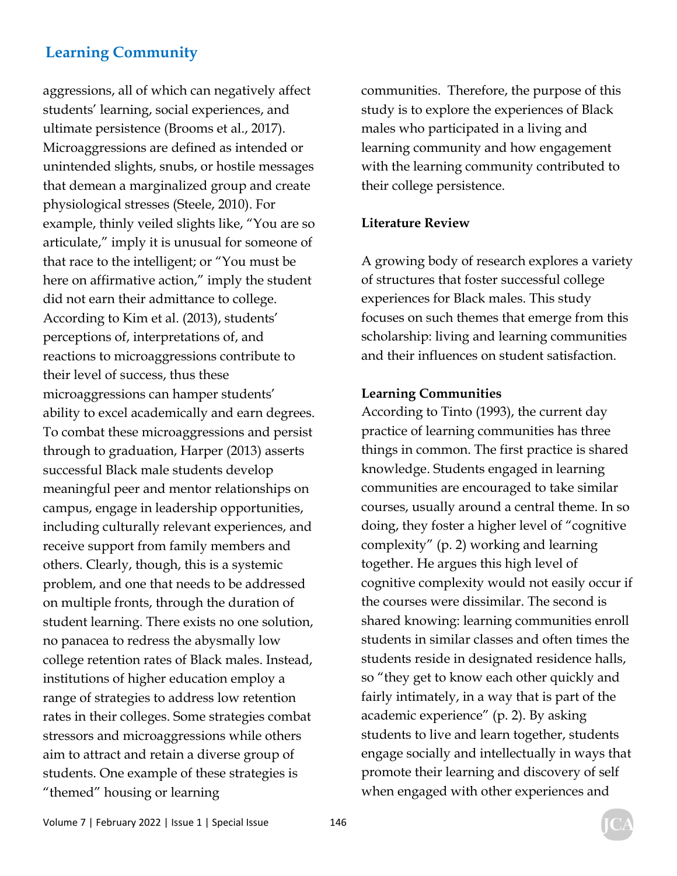aggressions, all of which can negatively affect students' learning, social experiences, and ultimate persistence (Brooms et al., 2017). Microaggressions are defined as intended or unintended slights, snubs, or hostile messages that demean a marginalized group and create physiological stresses (Steele, 2010). For example, thinly veiled slights like, "You are so articulate," imply it is unusual for someone of that race to the intelligent; or "You must be here on affirmative action," imply the student did not earn their admittance to college. According to Kim et al. (2013), students' perceptions of, interpretations of, and reactions to microaggressions contribute to their level of success, thus these microaggressions can hamper students' ability to excel academically and earn degrees. To combat these microaggressions and persist through to graduation, Harper (2013) asserts successful Black male students develop meaningful peer and mentor relationships on campus, engage in leadership opportunities, including culturally relevant experiences, and receive support from family members and others. Clearly, though, this is a systemic problem, and one that needs to be addressed on multiple fronts, through the duration of student learning. There exists no one solution, no panacea to redress the abysmally low college retention rates of Black males. Instead, institutions of higher education employ a range of strategies to address low retention rates in their colleges. Some strategies combat stressors and microaggressions while others aim to attract and retain a diverse group of students. One example of these strategies is "themed" housing or learning

communities. Therefore, the purpose of this study is to explore the experiences of Black males who participated in a living and learning community and how engagement with the learning community contributed to their college persistence.

#### **Literature Review**

A growing body of research explores a variety of structures that foster successful college experiences for Black males. This study focuses on such themes that emerge from this scholarship: living and learning communities and their influences on student satisfaction.

#### **Learning Communities**

According to Tinto (1993), the current day practice of learning communities has three things in common. The first practice is shared knowledge. Students engaged in learning communities are encouraged to take similar courses, usually around a central theme. In so doing, they foster a higher level of "cognitive complexity" (p. 2) working and learning together. He argues this high level of cognitive complexity would not easily occur if the courses were dissimilar. The second is shared knowing: learning communities enroll students in similar classes and often times the students reside in designated residence halls, so "they get to know each other quickly and fairly intimately, in a way that is part of the academic experience" (p. 2). By asking students to live and learn together, students engage socially and intellectually in ways that promote their learning and discovery of self when engaged with other experiences and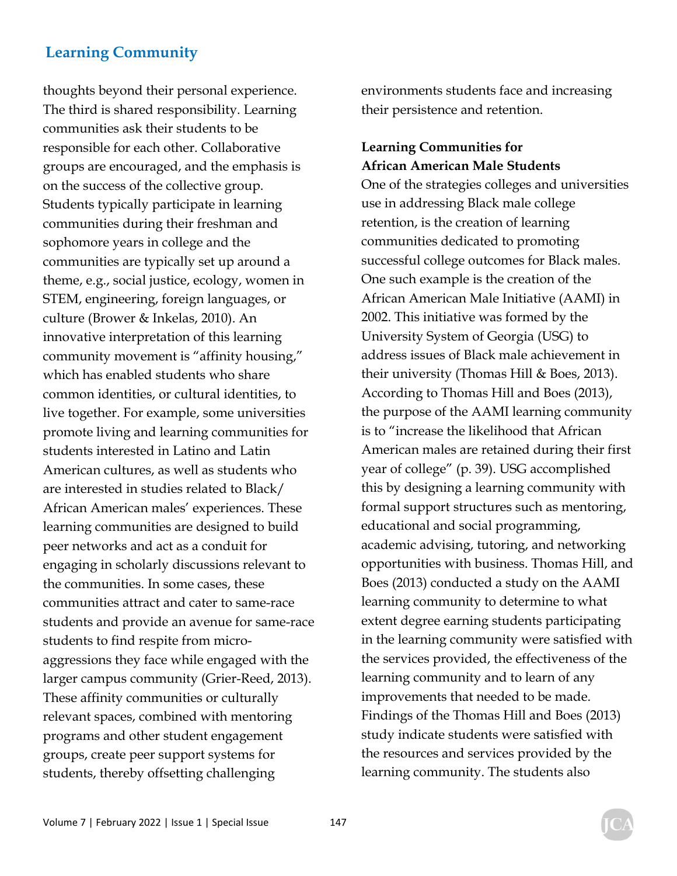thoughts beyond their personal experience. The third is shared responsibility. Learning communities ask their students to be responsible for each other. Collaborative groups are encouraged, and the emphasis is on the success of the collective group. Students typically participate in learning communities during their freshman and sophomore years in college and the communities are typically set up around a theme, e.g., social justice, ecology, women in STEM, engineering, foreign languages, or culture (Brower & Inkelas, 2010). An innovative interpretation of this learning community movement is "affinity housing," which has enabled students who share common identities, or cultural identities, to live together. For example, some universities promote living and learning communities for students interested in Latino and Latin American cultures, as well as students who are interested in studies related to Black/ African American males' experiences. These learning communities are designed to build peer networks and act as a conduit for engaging in scholarly discussions relevant to the communities. In some cases, these communities attract and cater to same-race students and provide an avenue for same-race students to find respite from microaggressions they face while engaged with the larger campus community (Grier-Reed, 2013). These affinity communities or culturally relevant spaces, combined with mentoring programs and other student engagement groups, create peer support systems for students, thereby offsetting challenging

environments students face and increasing their persistence and retention.

### **Learning Communities for African American Male Students**

One of the strategies colleges and universities use in addressing Black male college retention, is the creation of learning communities dedicated to promoting successful college outcomes for Black males. One such example is the creation of the African American Male Initiative (AAMI) in 2002. This initiative was formed by the University System of Georgia (USG) to address issues of Black male achievement in their university (Thomas Hill & Boes, 2013). According to Thomas Hill and Boes (2013), the purpose of the AAMI learning community is to "increase the likelihood that African American males are retained during their first year of college" (p. 39). USG accomplished this by designing a learning community with formal support structures such as mentoring, educational and social programming, academic advising, tutoring, and networking opportunities with business. Thomas Hill, and Boes (2013) conducted a study on the AAMI learning community to determine to what extent degree earning students participating in the learning community were satisfied with the services provided, the effectiveness of the learning community and to learn of any improvements that needed to be made. Findings of the Thomas Hill and Boes (2013) study indicate students were satisfied with the resources and services provided by the learning community. The students also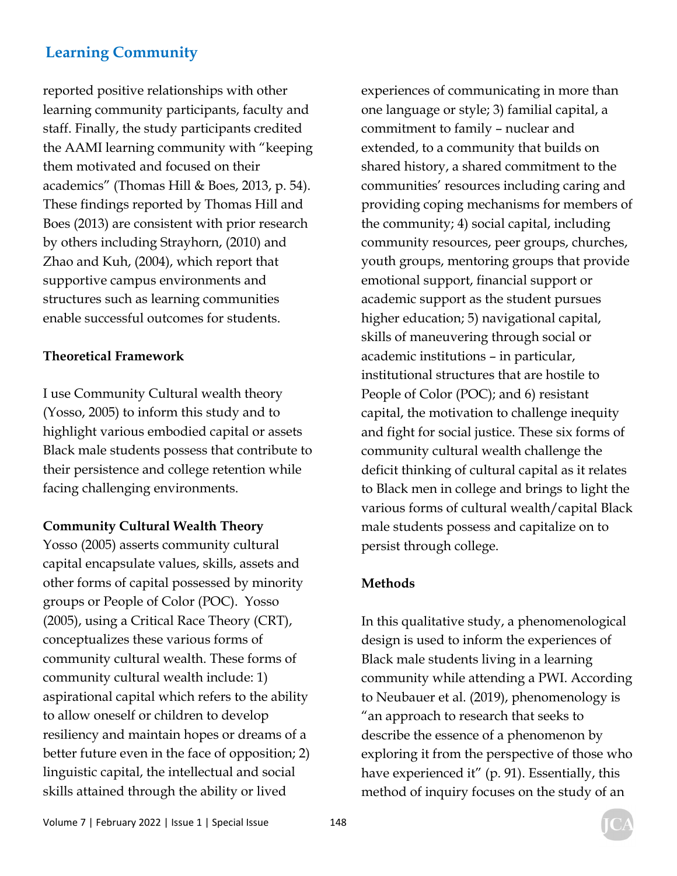reported positive relationships with other learning community participants, faculty and staff. Finally, the study participants credited the AAMI learning community with "keeping them motivated and focused on their academics" (Thomas Hill & Boes, 2013, p. 54). These findings reported by Thomas Hill and Boes (2013) are consistent with prior research by others including Strayhorn, (2010) and Zhao and Kuh, (2004), which report that supportive campus environments and structures such as learning communities enable successful outcomes for students.

#### **Theoretical Framework**

I use Community Cultural wealth theory (Yosso, 2005) to inform this study and to highlight various embodied capital or assets Black male students possess that contribute to their persistence and college retention while facing challenging environments.

### **Community Cultural Wealth Theory**

Yosso (2005) asserts community cultural capital encapsulate values, skills, assets and other forms of capital possessed by minority groups or People of Color (POC). Yosso (2005), using a Critical Race Theory (CRT), conceptualizes these various forms of community cultural wealth. These forms of community cultural wealth include: 1) aspirational capital which refers to the ability to allow oneself or children to develop resiliency and maintain hopes or dreams of a better future even in the face of opposition; 2) linguistic capital, the intellectual and social skills attained through the ability or lived

experiences of communicating in more than one language or style; 3) familial capital, a commitment to family – nuclear and extended, to a community that builds on shared history, a shared commitment to the communities' resources including caring and providing coping mechanisms for members of the community; 4) social capital, including community resources, peer groups, churches, youth groups, mentoring groups that provide emotional support, financial support or academic support as the student pursues higher education; 5) navigational capital, skills of maneuvering through social or academic institutions – in particular, institutional structures that are hostile to People of Color (POC); and 6) resistant capital, the motivation to challenge inequity and fight for social justice. These six forms of community cultural wealth challenge the deficit thinking of cultural capital as it relates to Black men in college and brings to light the various forms of cultural wealth/capital Black male students possess and capitalize on to persist through college.

### **Methods**

In this qualitative study, a phenomenological design is used to inform the experiences of Black male students living in a learning community while attending a PWI. According to Neubauer et al. (2019), phenomenology is "an approach to research that seeks to describe the essence of a phenomenon by exploring it from the perspective of those who have experienced it" (p. 91). Essentially, this method of inquiry focuses on the study of an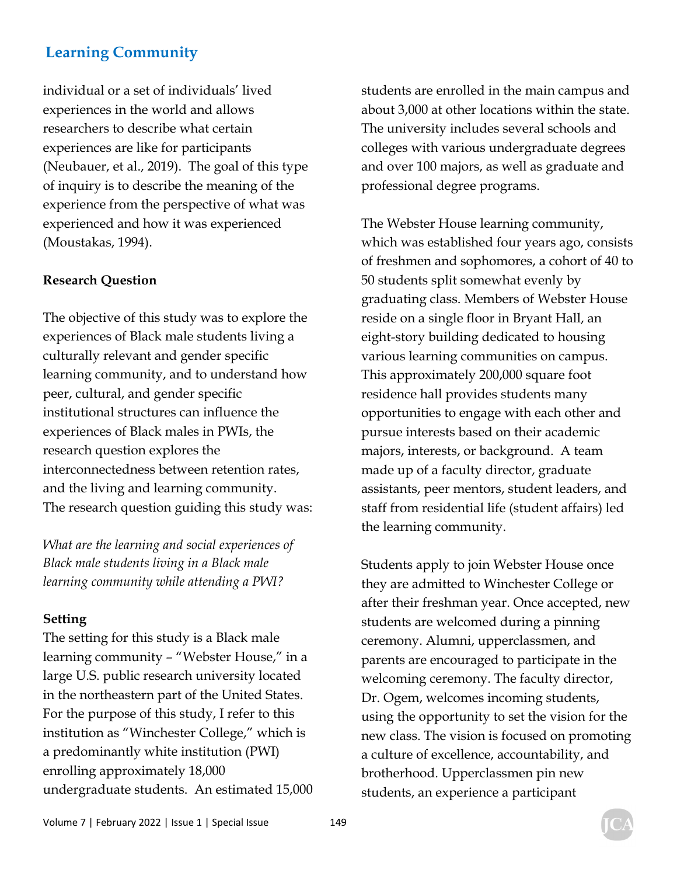individual or a set of individuals' lived experiences in the world and allows researchers to describe what certain experiences are like for participants (Neubauer, et al., 2019). The goal of this type of inquiry is to describe the meaning of the experience from the perspective of what was experienced and how it was experienced (Moustakas, 1994).

#### **Research Question**

The objective of this study was to explore the experiences of Black male students living a culturally relevant and gender specific learning community, and to understand how peer, cultural, and gender specific institutional structures can influence the experiences of Black males in PWIs, the research question explores the interconnectedness between retention rates, and the living and learning community. The research question guiding this study was:

*What are the learning and social experiences of Black male students living in a Black male learning community while attending a PWI?* 

#### **Setting**

The setting for this study is a Black male learning community – "Webster House," in a large U.S. public research university located in the northeastern part of the United States. For the purpose of this study, I refer to this institution as "Winchester College," which is a predominantly white institution (PWI) enrolling approximately 18,000 undergraduate students. An estimated 15,000 students are enrolled in the main campus and about 3,000 at other locations within the state. The university includes several schools and colleges with various undergraduate degrees and over 100 majors, as well as graduate and professional degree programs.

The Webster House learning community, which was established four years ago, consists of freshmen and sophomores, a cohort of 40 to 50 students split somewhat evenly by graduating class. Members of Webster House reside on a single floor in Bryant Hall, an eight-story building dedicated to housing various learning communities on campus. This approximately 200,000 square foot residence hall provides students many opportunities to engage with each other and pursue interests based on their academic majors, interests, or background. A team made up of a faculty director, graduate assistants, peer mentors, student leaders, and staff from residential life (student affairs) led the learning community.

Students apply to join Webster House once they are admitted to Winchester College or after their freshman year. Once accepted, new students are welcomed during a pinning ceremony. Alumni, upperclassmen, and parents are encouraged to participate in the welcoming ceremony. The faculty director, Dr. Ogem, welcomes incoming students, using the opportunity to set the vision for the new class. The vision is focused on promoting a culture of excellence, accountability, and brotherhood. Upperclassmen pin new students, an experience a participant

Volume 7 | February 2022 | Issue 1 | Special Issue 149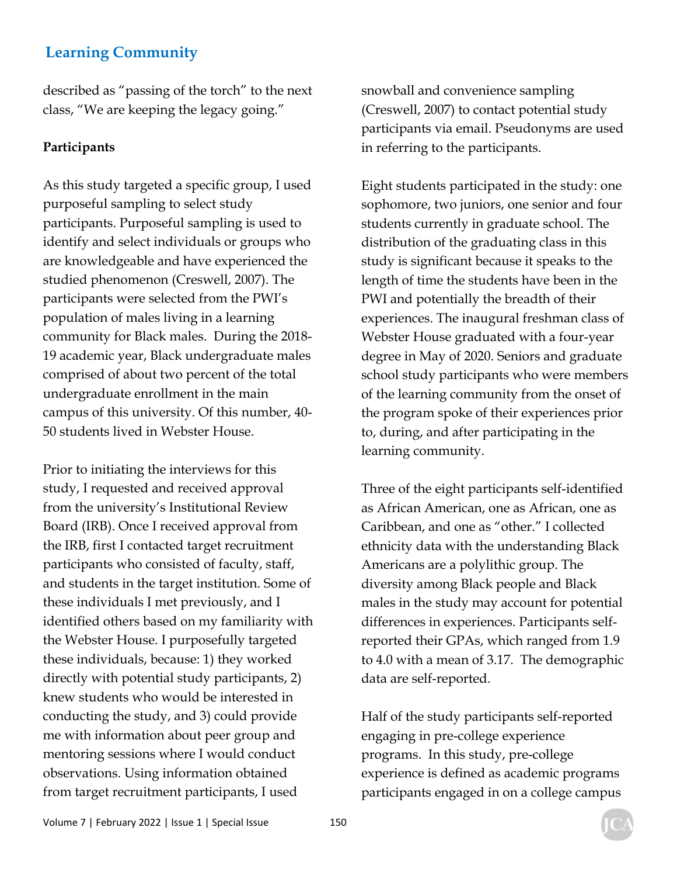described as "passing of the torch" to the next class, "We are keeping the legacy going."

#### **Participants**

As this study targeted a specific group, I used purposeful sampling to select study participants. Purposeful sampling is used to identify and select individuals or groups who are knowledgeable and have experienced the studied phenomenon (Creswell, 2007). The participants were selected from the PWI's population of males living in a learning community for Black males. During the 2018- 19 academic year, Black undergraduate males comprised of about two percent of the total undergraduate enrollment in the main campus of this university. Of this number, 40- 50 students lived in Webster House.

Prior to initiating the interviews for this study, I requested and received approval from the university's Institutional Review Board (IRB). Once I received approval from the IRB, first I contacted target recruitment participants who consisted of faculty, staff, and students in the target institution. Some of these individuals I met previously, and I identified others based on my familiarity with the Webster House. I purposefully targeted these individuals, because: 1) they worked directly with potential study participants, 2) knew students who would be interested in conducting the study, and 3) could provide me with information about peer group and mentoring sessions where I would conduct observations. Using information obtained from target recruitment participants, I used

snowball and convenience sampling (Creswell, 2007) to contact potential study participants via email. Pseudonyms are used in referring to the participants.

Eight students participated in the study: one sophomore, two juniors, one senior and four students currently in graduate school. The distribution of the graduating class in this study is significant because it speaks to the length of time the students have been in the PWI and potentially the breadth of their experiences. The inaugural freshman class of Webster House graduated with a four-year degree in May of 2020. Seniors and graduate school study participants who were members of the learning community from the onset of the program spoke of their experiences prior to, during, and after participating in the learning community.

Three of the eight participants self-identified as African American, one as African, one as Caribbean, and one as "other." I collected ethnicity data with the understanding Black Americans are a polylithic group. The diversity among Black people and Black males in the study may account for potential differences in experiences. Participants selfreported their GPAs, which ranged from 1.9 to 4.0 with a mean of 3.17. The demographic data are self-reported.

Half of the study participants self-reported engaging in pre-college experience programs. In this study, pre-college experience is defined as academic programs participants engaged in on a college campus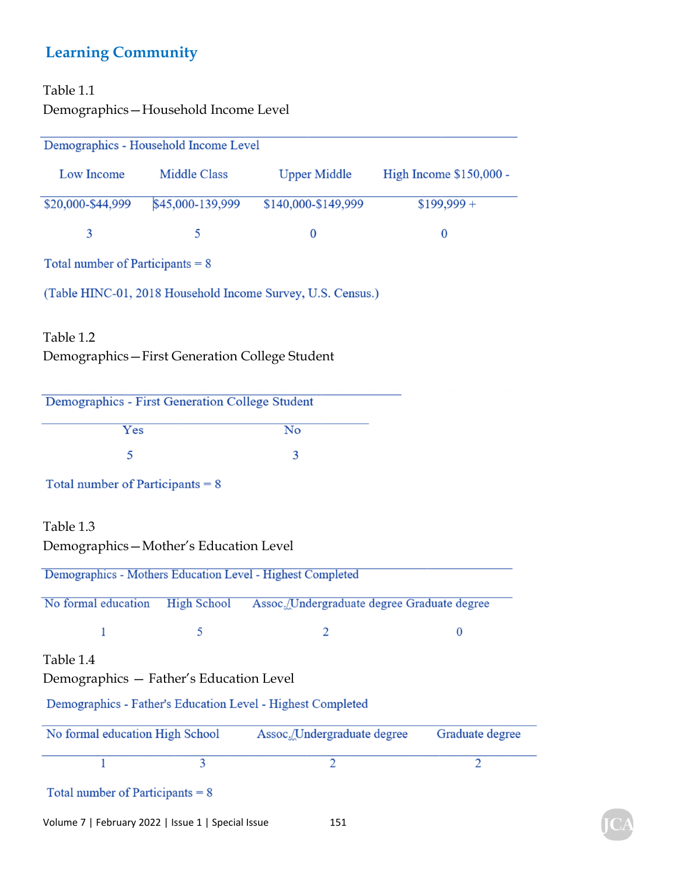### Table 1.1

Demographics—Household Income Level

|                                    | Demographics - Household Income Level           |                                                             |                         |
|------------------------------------|-------------------------------------------------|-------------------------------------------------------------|-------------------------|
| Low Income                         | <b>Middle Class</b>                             | <b>Upper Middle</b>                                         | High Income \$150,000 - |
| \$20,000-\$44,999                  | \$45,000-139,999                                | \$140,000-\$149,999                                         | $$199,999 +$            |
| 3                                  | 5                                               | $\boldsymbol{0}$                                            | $\bf{0}$                |
| Total number of Participants $= 8$ |                                                 |                                                             |                         |
|                                    |                                                 | (Table HINC-01, 2018 Household Income Survey, U.S. Census.) |                         |
| Table 1.2                          | Demographics-First Generation College Student   |                                                             |                         |
|                                    | Demographics - First Generation College Student |                                                             |                         |
| Yes                                |                                                 | $\overline{\text{No}}$                                      |                         |
| 5                                  |                                                 | 3                                                           |                         |
| Total number of Participants $= 8$ |                                                 |                                                             |                         |
| Table 1.3                          |                                                 |                                                             |                         |
|                                    | Demographics-Mother's Education Level           |                                                             |                         |
|                                    |                                                 | Demographics - Mothers Education Level - Highest Completed  |                         |
| No formal education                | <b>High School</b>                              | Assoc./Undergraduate degree Graduate degree                 |                         |
|                                    |                                                 |                                                             | $\bf{0}$                |
| Table 1.4                          | Demographics - Father's Education Level         |                                                             |                         |
|                                    |                                                 | Demographics - Father's Education Level - Highest Completed |                         |
| No formal education High School    |                                                 | Assoc./Undergraduate degree                                 | Graduate degree         |
| 1                                  | 3                                               | $\overline{2}$                                              | $\overline{2}$          |
| Total number of Participants $= 8$ |                                                 |                                                             |                         |
|                                    |                                                 |                                                             |                         |

Volume 7 | February 2022 | Issue 1 | Special Issue 151

 $\mathbf C$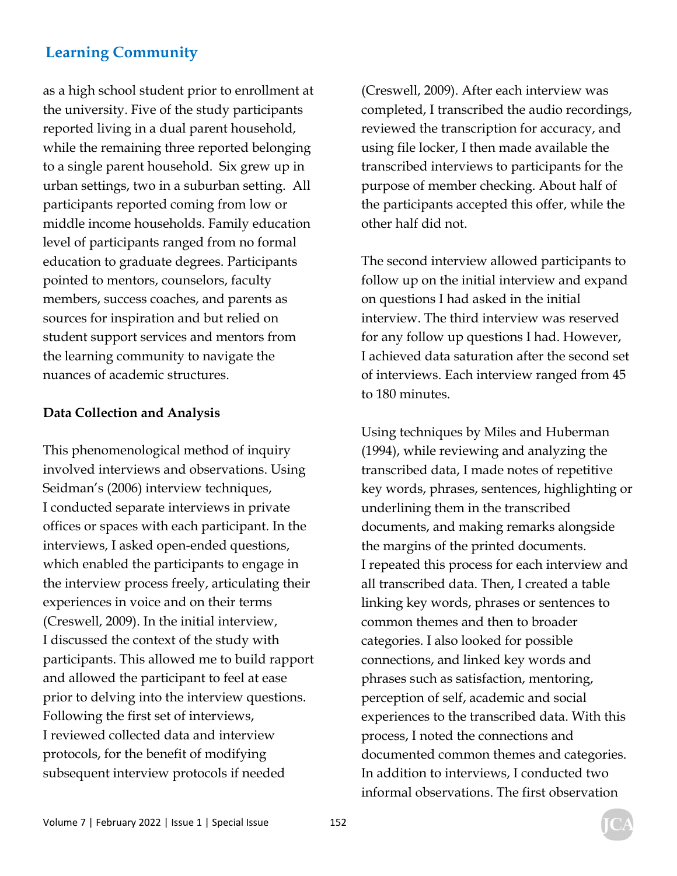as a high school student prior to enrollment at the university. Five of the study participants reported living in a dual parent household, while the remaining three reported belonging to a single parent household. Six grew up in urban settings, two in a suburban setting. All participants reported coming from low or middle income households. Family education level of participants ranged from no formal education to graduate degrees. Participants pointed to mentors, counselors, faculty members, success coaches, and parents as sources for inspiration and but relied on student support services and mentors from the learning community to navigate the nuances of academic structures.

### **Data Collection and Analysis**

This phenomenological method of inquiry involved interviews and observations. Using Seidman's (2006) interview techniques, I conducted separate interviews in private offices or spaces with each participant. In the interviews, I asked open-ended questions, which enabled the participants to engage in the interview process freely, articulating their experiences in voice and on their terms (Creswell, 2009). In the initial interview, I discussed the context of the study with participants. This allowed me to build rapport and allowed the participant to feel at ease prior to delving into the interview questions. Following the first set of interviews, I reviewed collected data and interview protocols, for the benefit of modifying subsequent interview protocols if needed

(Creswell, 2009). After each interview was completed, I transcribed the audio recordings, reviewed the transcription for accuracy, and using file locker, I then made available the transcribed interviews to participants for the purpose of member checking. About half of the participants accepted this offer, while the other half did not.

The second interview allowed participants to follow up on the initial interview and expand on questions I had asked in the initial interview. The third interview was reserved for any follow up questions I had. However, I achieved data saturation after the second set of interviews. Each interview ranged from 45 to 180 minutes.

Using techniques by Miles and Huberman (1994), while reviewing and analyzing the transcribed data, I made notes of repetitive key words, phrases, sentences, highlighting or underlining them in the transcribed documents, and making remarks alongside the margins of the printed documents. I repeated this process for each interview and all transcribed data. Then, I created a table linking key words, phrases or sentences to common themes and then to broader categories. I also looked for possible connections, and linked key words and phrases such as satisfaction, mentoring, perception of self, academic and social experiences to the transcribed data. With this process, I noted the connections and documented common themes and categories. In addition to interviews, I conducted two informal observations. The first observation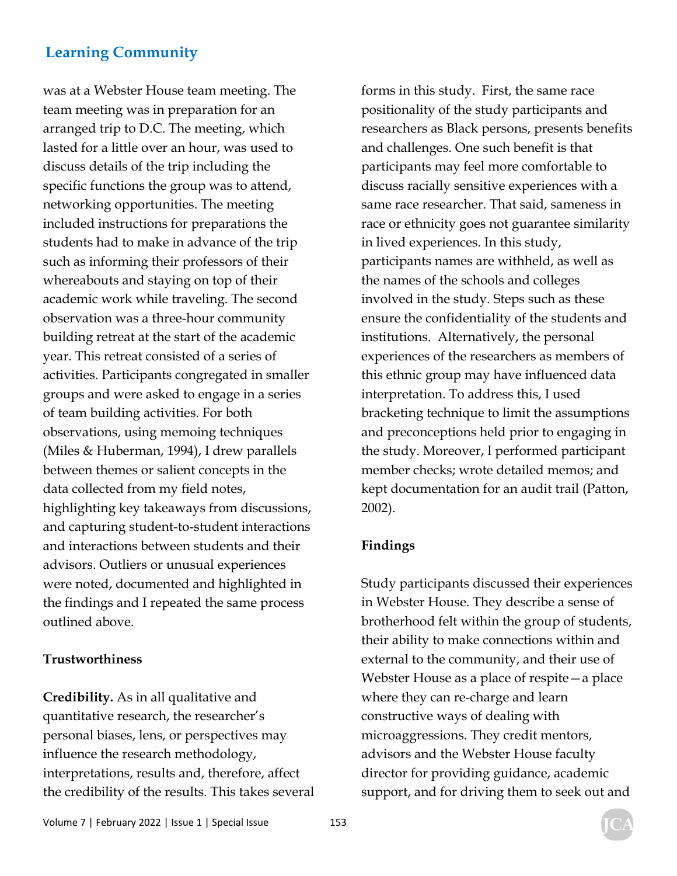was at a Webster House team meeting. The team meeting was in preparation for an arranged trip to D.C. The meeting, which lasted for a little over an hour, was used to discuss details of the trip including the specific functions the group was to attend, networking opportunities. The meeting included instructions for preparations the students had to make in advance of the trip such as informing their professors of their whereabouts and staying on top of their academic work while traveling. The second observation was a three-hour community building retreat at the start of the academic year. This retreat consisted of a series of activities. Participants congregated in smaller groups and were asked to engage in a series of team building activities. For both observations, using memoing techniques (Miles & Huberman, 1994), I drew parallels between themes or salient concepts in the data collected from my field notes, highlighting key takeaways from discussions, and capturing student-to-student interactions and interactions between students and their advisors. Outliers or unusual experiences were noted, documented and highlighted in the findings and I repeated the same process outlined above.

#### **Trustworthiness**

**Credibility.** As in all qualitative and quantitative research, the researcher's personal biases, lens, or perspectives may influence the research methodology, interpretations, results and, therefore, affect the credibility of the results. This takes several forms in this study. First, the same race positionality of the study participants and researchers as Black persons, presents benefits and challenges. One such benefit is that participants may feel more comfortable to discuss racially sensitive experiences with a same race researcher. That said, sameness in race or ethnicity goes not guarantee similarity in lived experiences. In this study, participants names are withheld, as well as the names of the schools and colleges involved in the study. Steps such as these ensure the confidentiality of the students and institutions. Alternatively, the personal experiences of the researchers as members of this ethnic group may have influenced data interpretation. To address this, I used bracketing technique to limit the assumptions and preconceptions held prior to engaging in the study. Moreover, I performed participant member checks; wrote detailed memos; and kept documentation for an audit trail (Patton, 2002).

#### **Findings**

Study participants discussed their experiences in Webster House. They describe a sense of brotherhood felt within the group of students, their ability to make connections within and external to the community, and their use of Webster House as a place of respite—a place where they can re-charge and learn constructive ways of dealing with microaggressions. They credit mentors, advisors and the Webster House faculty director for providing guidance, academic support, and for driving them to seek out and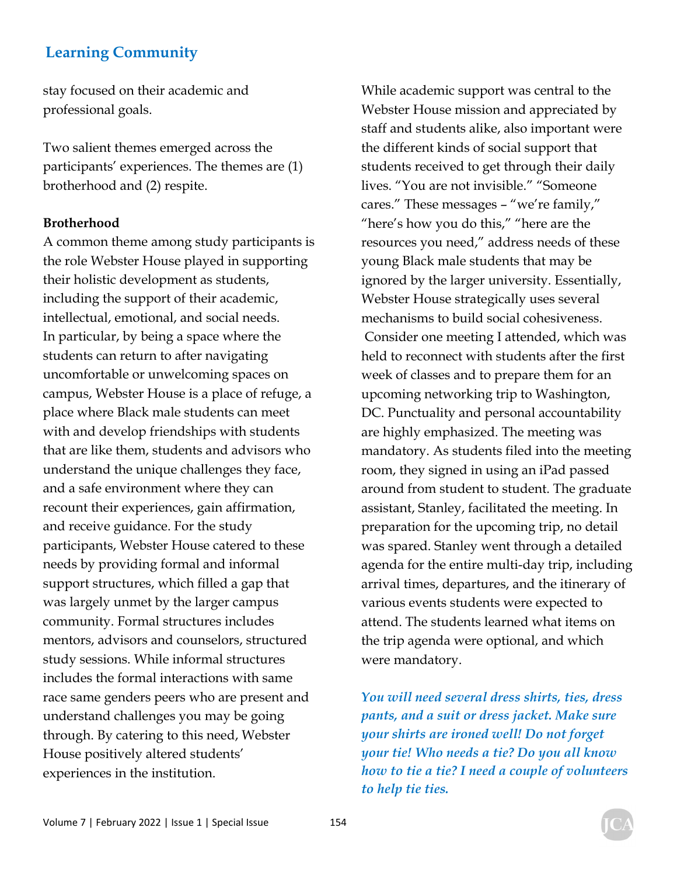stay focused on their academic and professional goals.

Two salient themes emerged across the participants' experiences. The themes are (1) brotherhood and (2) respite.

#### **Brotherhood**

A common theme among study participants is the role Webster House played in supporting their holistic development as students, including the support of their academic, intellectual, emotional, and social needs. In particular, by being a space where the students can return to after navigating uncomfortable or unwelcoming spaces on campus, Webster House is a place of refuge, a place where Black male students can meet with and develop friendships with students that are like them, students and advisors who understand the unique challenges they face, and a safe environment where they can recount their experiences, gain affirmation, and receive guidance. For the study participants, Webster House catered to these needs by providing formal and informal support structures, which filled a gap that was largely unmet by the larger campus community. Formal structures includes mentors, advisors and counselors, structured study sessions. While informal structures includes the formal interactions with same race same genders peers who are present and understand challenges you may be going through. By catering to this need, Webster House positively altered students' experiences in the institution.

While academic support was central to the Webster House mission and appreciated by staff and students alike, also important were the different kinds of social support that students received to get through their daily lives. "You are not invisible." "Someone cares." These messages – "we're family," "here's how you do this," "here are the resources you need," address needs of these young Black male students that may be ignored by the larger university. Essentially, Webster House strategically uses several mechanisms to build social cohesiveness. Consider one meeting I attended, which was held to reconnect with students after the first week of classes and to prepare them for an upcoming networking trip to Washington, DC. Punctuality and personal accountability are highly emphasized. The meeting was mandatory. As students filed into the meeting room, they signed in using an iPad passed around from student to student. The graduate assistant, Stanley, facilitated the meeting. In preparation for the upcoming trip, no detail was spared. Stanley went through a detailed agenda for the entire multi-day trip, including arrival times, departures, and the itinerary of various events students were expected to attend. The students learned what items on the trip agenda were optional, and which were mandatory.

*You will need several dress shirts, ties, dress pants, and a suit or dress jacket. Make sure your shirts are ironed well! Do not forget your tie! Who needs a tie? Do you all know how to tie a tie? I need a couple of volunteers to help tie ties.*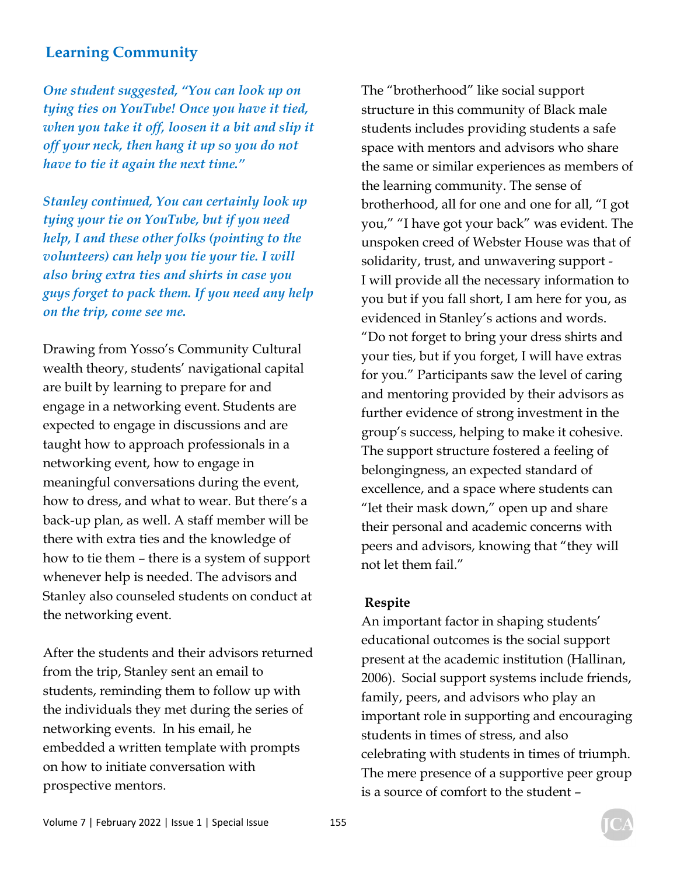*One student suggested, "You can look up on tying ties on YouTube! Once you have it tied, when you take it off, loosen it a bit and slip it off your neck, then hang it up so you do not have to tie it again the next time."* 

*Stanley continued, You can certainly look up tying your tie on YouTube, but if you need help, I and these other folks (pointing to the volunteers) can help you tie your tie. I will also bring extra ties and shirts in case you guys forget to pack them. If you need any help on the trip, come see me.* 

Drawing from Yosso's Community Cultural wealth theory, students' navigational capital are built by learning to prepare for and engage in a networking event. Students are expected to engage in discussions and are taught how to approach professionals in a networking event, how to engage in meaningful conversations during the event, how to dress, and what to wear. But there's a back-up plan, as well. A staff member will be there with extra ties and the knowledge of how to tie them – there is a system of support whenever help is needed. The advisors and Stanley also counseled students on conduct at the networking event.

After the students and their advisors returned from the trip, Stanley sent an email to students, reminding them to follow up with the individuals they met during the series of networking events. In his email, he embedded a written template with prompts on how to initiate conversation with prospective mentors.

The "brotherhood" like social support structure in this community of Black male students includes providing students a safe space with mentors and advisors who share the same or similar experiences as members of the learning community. The sense of brotherhood, all for one and one for all, "I got you," "I have got your back" was evident. The unspoken creed of Webster House was that of solidarity, trust, and unwavering support - I will provide all the necessary information to you but if you fall short, I am here for you, as evidenced in Stanley's actions and words. "Do not forget to bring your dress shirts and your ties, but if you forget, I will have extras for you." Participants saw the level of caring and mentoring provided by their advisors as further evidence of strong investment in the group's success, helping to make it cohesive. The support structure fostered a feeling of belongingness, an expected standard of excellence, and a space where students can "let their mask down," open up and share their personal and academic concerns with peers and advisors, knowing that "they will not let them fail."

#### **Respite**

An important factor in shaping students' educational outcomes is the social support present at the academic institution (Hallinan, 2006). Social support systems include friends, family, peers, and advisors who play an important role in supporting and encouraging students in times of stress, and also celebrating with students in times of triumph. The mere presence of a supportive peer group is a source of comfort to the student –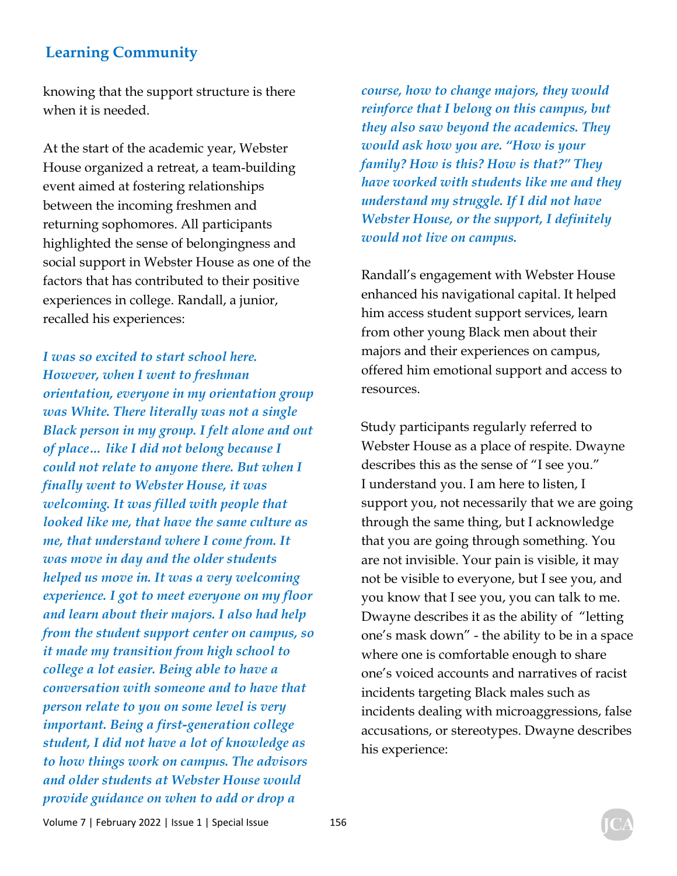knowing that the support structure is there when it is needed.

At the start of the academic year, Webster House organized a retreat, a team-building event aimed at fostering relationships between the incoming freshmen and returning sophomores. All participants highlighted the sense of belongingness and social support in Webster House as one of the factors that has contributed to their positive experiences in college. Randall, a junior, recalled his experiences:

*I was so excited to start school here. However, when I went to freshman orientation, everyone in my orientation group was White. There literally was not a single Black person in my group. I felt alone and out of place… like I did not belong because I could not relate to anyone there. But when I finally went to Webster House, it was welcoming. It was filled with people that looked like me, that have the same culture as me, that understand where I come from. It was move in day and the older students helped us move in. It was a very welcoming experience. I got to meet everyone on my floor and learn about their majors. I also had help from the student support center on campus, so it made my transition from high school to college a lot easier. Being able to have a conversation with someone and to have that person relate to you on some level is very important. Being a first-generation college student, I did not have a lot of knowledge as to how things work on campus. The advisors and older students at Webster House would provide guidance on when to add or drop a* 

*course, how to change majors, they would reinforce that I belong on this campus, but they also saw beyond the academics. They would ask how you are. "How is your family? How is this? How is that?" They have worked with students like me and they understand my struggle. If I did not have Webster House, or the support, I definitely would not live on campus.* 

Randall's engagement with Webster House enhanced his navigational capital. It helped him access student support services, learn from other young Black men about their majors and their experiences on campus, offered him emotional support and access to resources.

Study participants regularly referred to Webster House as a place of respite. Dwayne describes this as the sense of "I see you." I understand you. I am here to listen, I support you, not necessarily that we are going through the same thing, but I acknowledge that you are going through something. You are not invisible. Your pain is visible, it may not be visible to everyone, but I see you, and you know that I see you, you can talk to me. Dwayne describes it as the ability of "letting one's mask down" - the ability to be in a space where one is comfortable enough to share one's voiced accounts and narratives of racist incidents targeting Black males such as incidents dealing with microaggressions, false accusations, or stereotypes. Dwayne describes his experience: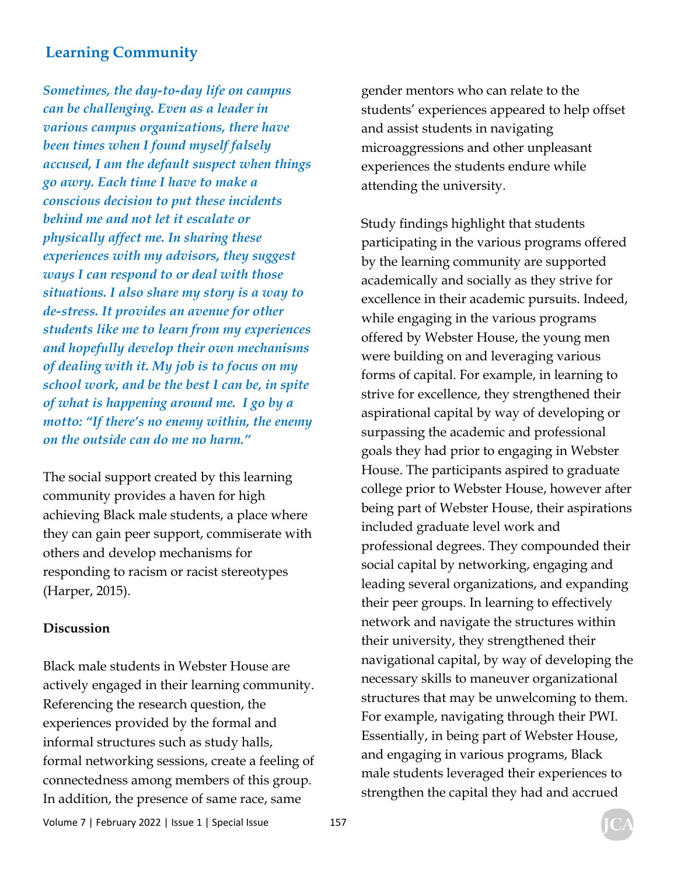*Sometimes, the day-to-day life on campus can be challenging. Even as a leader in various campus organizations, there have been times when I found myself falsely accused, I am the default suspect when things go awry. Each time I have to make a conscious decision to put these incidents behind me and not let it escalate or physically affect me. In sharing these experiences with my advisors, they suggest ways I can respond to or deal with those situations. I also share my story is a way to de-stress. It provides an avenue for other students like me to learn from my experiences and hopefully develop their own mechanisms of dealing with it. My job is to focus on my school work, and be the best I can be, in spite of what is happening around me. I go by a motto: "If there's no enemy within, the enemy on the outside can do me no harm."* 

The social support created by this learning community provides a haven for high achieving Black male students, a place where they can gain peer support, commiserate with others and develop mechanisms for responding to racism or racist stereotypes (Harper, 2015).

#### **Discussion**

Black male students in Webster House are actively engaged in their learning community. Referencing the research question, the experiences provided by the formal and informal structures such as study halls, formal networking sessions, create a feeling of connectedness among members of this group. In addition, the presence of same race, same

gender mentors who can relate to the students' experiences appeared to help offset and assist students in navigating microaggressions and other unpleasant experiences the students endure while attending the university.

Study findings highlight that students participating in the various programs offered by the learning community are supported academically and socially as they strive for excellence in their academic pursuits. Indeed, while engaging in the various programs offered by Webster House, the young men were building on and leveraging various forms of capital. For example, in learning to strive for excellence, they strengthened their aspirational capital by way of developing or surpassing the academic and professional goals they had prior to engaging in Webster House. The participants aspired to graduate college prior to Webster House, however after being part of Webster House, their aspirations included graduate level work and professional degrees. They compounded their social capital by networking, engaging and leading several organizations, and expanding their peer groups. In learning to effectively network and navigate the structures within their university, they strengthened their navigational capital, by way of developing the necessary skills to maneuver organizational structures that may be unwelcoming to them. For example, navigating through their PWI. Essentially, in being part of Webster House, and engaging in various programs, Black male students leveraged their experiences to strengthen the capital they had and accrued

Volume 7 | February 2022 | Issue 1 | Special Issue 157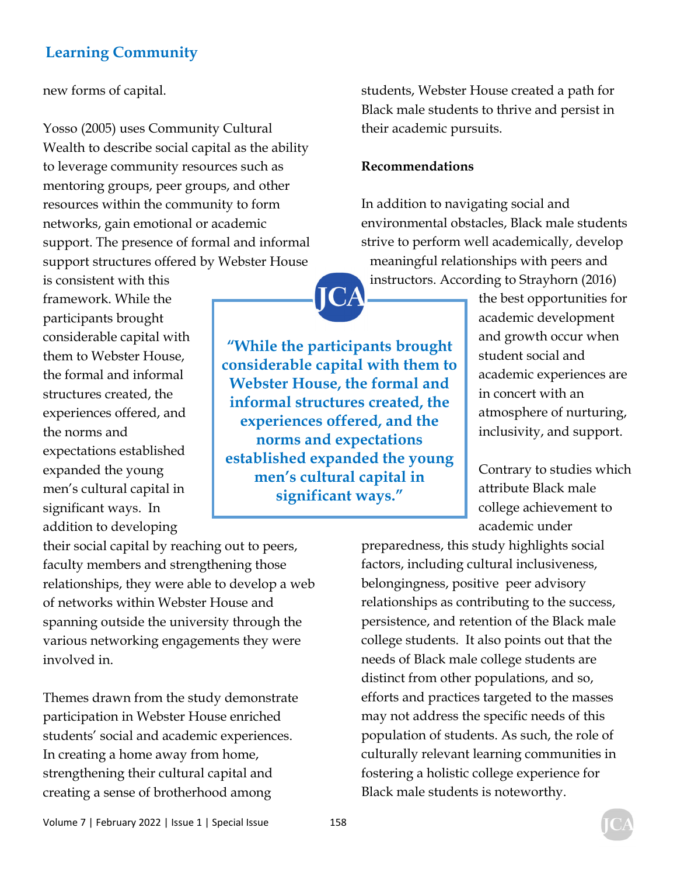new forms of capital.

Yosso (2005) uses Community Cultural Wealth to describe social capital as the ability to leverage community resources such as mentoring groups, peer groups, and other resources within the community to form networks, gain emotional or academic support. The presence of formal and informal support structures offered by Webster House

is consistent with this framework. While the participants brought considerable capital with them to Webster House, the formal and informal structures created, the experiences offered, and the norms and expectations established expanded the young men's cultural capital in significant ways. In addition to developing

their social capital by reaching out to peers, faculty members and strengthening those relationships, they were able to develop a web of networks within Webster House and spanning outside the university through the various networking engagements they were involved in.

Themes drawn from the study demonstrate participation in Webster House enriched students' social and academic experiences. In creating a home away from home, strengthening their cultural capital and creating a sense of brotherhood among

students, Webster House created a path for Black male students to thrive and persist in their academic pursuits.

#### **Recommendations**

In addition to navigating social and environmental obstacles, Black male students strive to perform well academically, develop meaningful relationships with peers and instructors. According to Strayhorn (2016)

**"While the participants brought considerable capital with them to Webster House, the formal and informal structures created, the experiences offered, and the norms and expectations established expanded the young men's cultural capital in significant ways."** 

the best opportunities for academic development and growth occur when student social and academic experiences are in concert with an atmosphere of nurturing, inclusivity, and support.

Contrary to studies which attribute Black male college achievement to academic under

preparedness, this study highlights social factors, including cultural inclusiveness, belongingness, positive peer advisory relationships as contributing to the success, persistence, and retention of the Black male college students. It also points out that the needs of Black male college students are distinct from other populations, and so, efforts and practices targeted to the masses may not address the specific needs of this population of students. As such, the role of culturally relevant learning communities in fostering a holistic college experience for Black male students is noteworthy.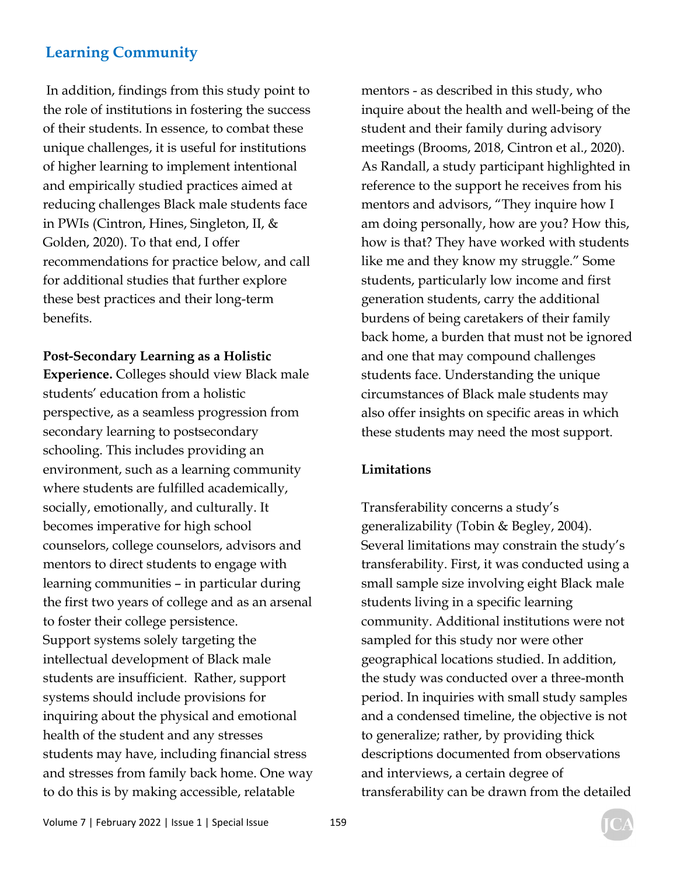In addition, findings from this study point to the role of institutions in fostering the success of their students. In essence, to combat these unique challenges, it is useful for institutions of higher learning to implement intentional and empirically studied practices aimed at reducing challenges Black male students face in PWIs (Cintron, Hines, Singleton, II, & Golden, 2020). To that end, I offer recommendations for practice below, and call for additional studies that further explore these best practices and their long-term benefits.

#### **Post-Secondary Learning as a Holistic**

**Experience.** Colleges should view Black male students' education from a holistic perspective, as a seamless progression from secondary learning to postsecondary schooling. This includes providing an environment, such as a learning community where students are fulfilled academically, socially, emotionally, and culturally. It becomes imperative for high school counselors, college counselors, advisors and mentors to direct students to engage with learning communities – in particular during the first two years of college and as an arsenal to foster their college persistence. Support systems solely targeting the intellectual development of Black male students are insufficient. Rather, support systems should include provisions for inquiring about the physical and emotional health of the student and any stresses students may have, including financial stress and stresses from family back home. One way to do this is by making accessible, relatable

mentors - as described in this study, who inquire about the health and well-being of the student and their family during advisory meetings (Brooms, 2018, Cintron et al., 2020). As Randall, a study participant highlighted in reference to the support he receives from his mentors and advisors, "They inquire how I am doing personally, how are you? How this, how is that? They have worked with students like me and they know my struggle." Some students, particularly low income and first generation students, carry the additional burdens of being caretakers of their family back home, a burden that must not be ignored and one that may compound challenges students face. Understanding the unique circumstances of Black male students may also offer insights on specific areas in which these students may need the most support.

#### **Limitations**

Transferability concerns a study's generalizability (Tobin & Begley, 2004). Several limitations may constrain the study's transferability. First, it was conducted using a small sample size involving eight Black male students living in a specific learning community. Additional institutions were not sampled for this study nor were other geographical locations studied. In addition, the study was conducted over a three-month period. In inquiries with small study samples and a condensed timeline, the objective is not to generalize; rather, by providing thick descriptions documented from observations and interviews, a certain degree of transferability can be drawn from the detailed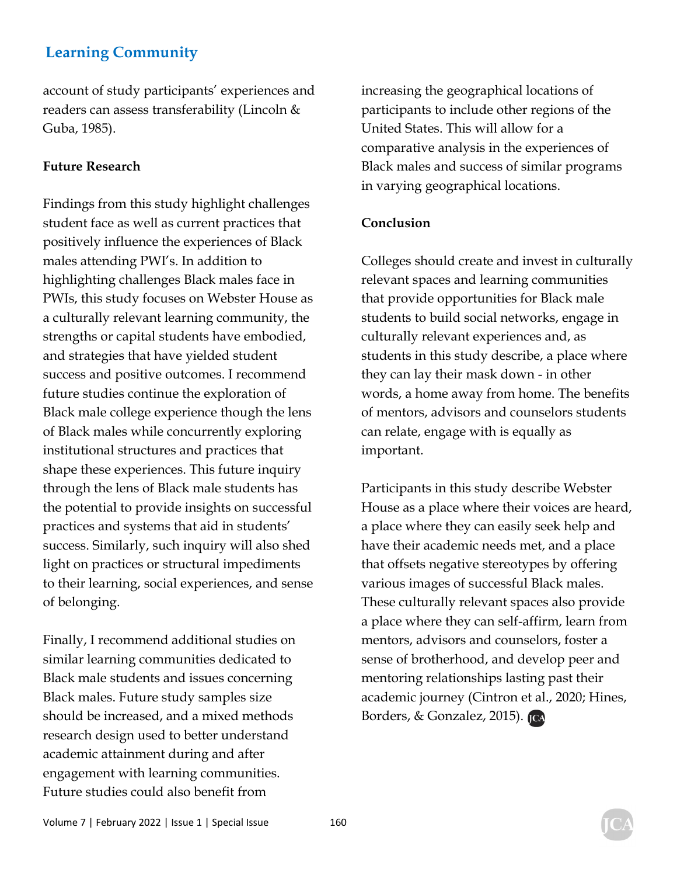account of study participants' experiences and readers can assess transferability (Lincoln & Guba, 1985).

#### **Future Research**

Findings from this study highlight challenges student face as well as current practices that positively influence the experiences of Black males attending PWI's. In addition to highlighting challenges Black males face in PWIs, this study focuses on Webster House as a culturally relevant learning community, the strengths or capital students have embodied, and strategies that have yielded student success and positive outcomes. I recommend future studies continue the exploration of Black male college experience though the lens of Black males while concurrently exploring institutional structures and practices that shape these experiences. This future inquiry through the lens of Black male students has the potential to provide insights on successful practices and systems that aid in students' success. Similarly, such inquiry will also shed light on practices or structural impediments to their learning, social experiences, and sense of belonging.

Finally, I recommend additional studies on similar learning communities dedicated to Black male students and issues concerning Black males. Future study samples size should be increased, and a mixed methods research design used to better understand academic attainment during and after engagement with learning communities. Future studies could also benefit from

increasing the geographical locations of participants to include other regions of the United States. This will allow for a comparative analysis in the experiences of Black males and success of similar programs in varying geographical locations.

#### **Conclusion**

Colleges should create and invest in culturally relevant spaces and learning communities that provide opportunities for Black male students to build social networks, engage in culturally relevant experiences and, as students in this study describe, a place where they can lay their mask down - in other words, a home away from home. The benefits of mentors, advisors and counselors students can relate, engage with is equally as important.

Participants in this study describe Webster House as a place where their voices are heard, a place where they can easily seek help and have their academic needs met, and a place that offsets negative stereotypes by offering various images of successful Black males. These culturally relevant spaces also provide a place where they can self-affirm, learn from mentors, advisors and counselors, foster a sense of brotherhood, and develop peer and mentoring relationships lasting past their academic journey (Cintron et al., 2020; Hines, Borders, & Gonzalez, 2015). JCA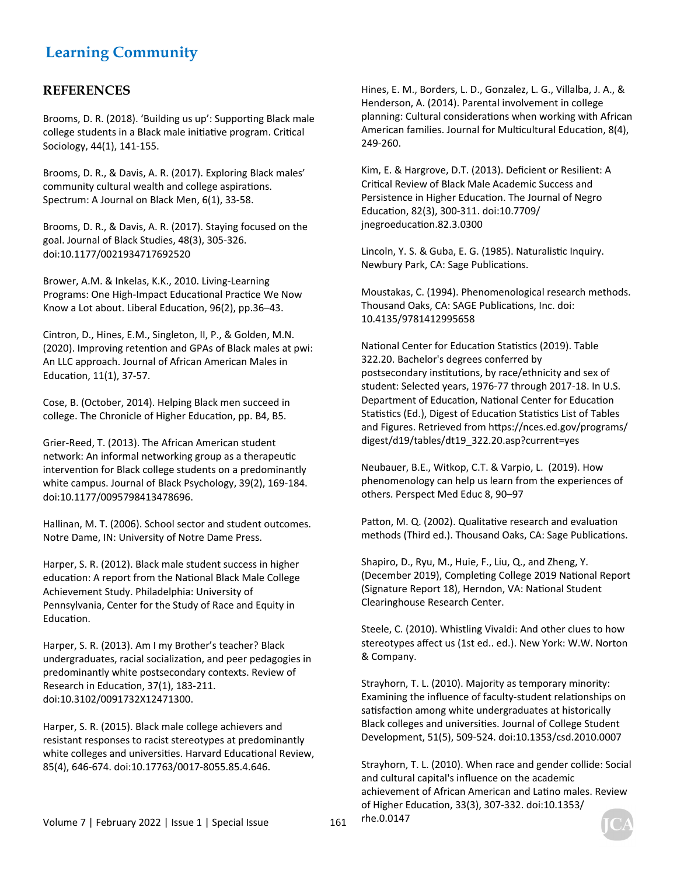#### **REFERENCES**

Brooms, D. R. (2018). 'Building us up': Supporting Black male college students in a Black male initiative program. Critical Sociology, 44(1), 141-155.

Brooms, D. R., & Davis, A. R. (2017). Exploring Black males' community cultural wealth and college aspirations. Spectrum: A Journal on Black Men, 6(1), 33-58.

Brooms, D. R., & Davis, A. R. (2017). Staying focused on the goal. Journal of Black Studies, 48(3), 305-326. doi:10.1177/0021934717692520

Brower, A.M. & Inkelas, K.K., 2010. Living-Learning Programs: One High-Impact Educational Practice We Now Know a Lot about. Liberal Education, 96(2), pp.36-43.

Cintron, D., Hines, E.M., Singleton, II, P., & Golden, M.N. (2020). Improving retention and GPAs of Black males at pwi: An LLC approach. Journal of African American Males in Education, 11(1), 37-57.

Cose, B. (October, 2014). Helping Black men succeed in college. The Chronicle of Higher Education, pp. B4, B5.

Grier-Reed, T. (2013). The African American student network: An informal networking group as a therapeutic intervention for Black college students on a predominantly white campus. Journal of Black Psychology, 39(2), 169-184. doi:10.1177/0095798413478696.

Hallinan, M. T. (2006). School sector and student outcomes. Notre Dame, IN: University of Notre Dame Press.

Harper, S. R. (2012). Black male student success in higher education: A report from the National Black Male College Achievement Study. Philadelphia: University of Pennsylvania, Center for the Study of Race and Equity in Education.

Harper, S. R. (2013). Am I my Brother's teacher? Black undergraduates, racial socialization, and peer pedagogies in predominantly white postsecondary contexts. Review of Research in Education, 37(1), 183-211. doi:10.3102/0091732X12471300.

Harper, S. R. (2015). Black male college achievers and resistant responses to racist stereotypes at predominantly white colleges and universities. Harvard Educational Review, 85(4), 646-674. doi:10.17763/0017-8055.85.4.646.

Hines, E. M., Borders, L. D., Gonzalez, L. G., Villalba, J. A., & Henderson, A. (2014). Parental involvement in college planning: Cultural considerations when working with African American families. Journal for Multicultural Education, 8(4), 249-260.

Kim, E. & Hargrove, D.T. (2013). Deficient or Resilient: A Critical Review of Black Male Academic Success and Persistence in Higher Education. The Journal of Negro EducaƟon, 82(3), 300-311. doi:10.7709/ jnegroeducation.82.3.0300

Lincoln, Y. S. & Guba, E. G. (1985). Naturalistic Inquiry. Newbury Park, CA: Sage Publications.

Moustakas, C. (1994). Phenomenological research methods. Thousand Oaks, CA: SAGE Publications, Inc. doi: 10.4135/9781412995658

National Center for Education Statistics (2019). Table 322.20. Bachelor's degrees conferred by postsecondary institutions, by race/ethnicity and sex of student: Selected years, 1976-77 through 2017-18. In U.S. Department of Education, National Center for Education Statistics (Ed.), Digest of Education Statistics List of Tables and Figures. Retrieved from https://nces.ed.gov/programs/ digest/d19/tables/dt19\_322.20.asp?current=yes

Neubauer, B.E., Witkop, C.T. & Varpio, L. (2019). How phenomenology can help us learn from the experiences of others. Perspect Med Educ 8, 90–97

Patton, M. Q. (2002). Qualitative research and evaluation methods (Third ed.). Thousand Oaks, CA: Sage Publications.

Shapiro, D., Ryu, M., Huie, F., Liu, Q., and Zheng, Y. (December 2019), Completing College 2019 National Report (Signature Report 18), Herndon, VA: National Student Clearinghouse Research Center.

Steele, C. (2010). Whistling Vivaldi: And other clues to how stereotypes affect us (1st ed.. ed.). New York: W.W. Norton & Company.

Strayhorn, T. L. (2010). Majority as temporary minority: Examining the influence of faculty-student relationships on satisfaction among white undergraduates at historically Black colleges and universities. Journal of College Student Development, 51(5), 509-524. doi:10.1353/csd.2010.0007

Strayhorn, T. L. (2010). When race and gender collide: Social and cultural capital's influence on the academic achievement of African American and Latino males. Review of Higher Education, 33(3), 307-332. doi:10.1353/ rhe.0.0147